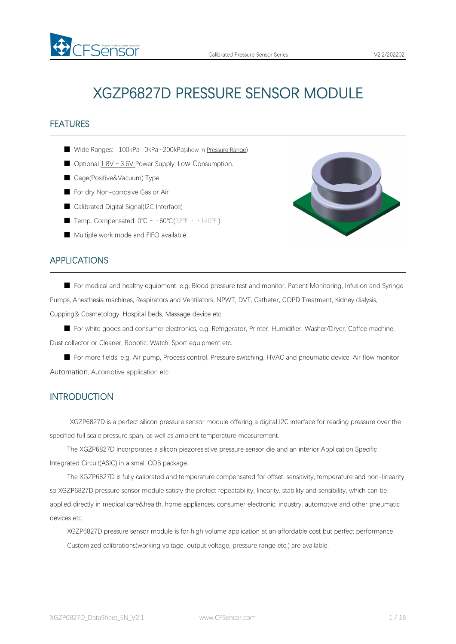# XGZP6827D PRESSURE SENSOR MODULE

# **FEATURES**

- Wide Ranges: -100kPa…0kPa…200kPa(show in [Pressure](#page-4-0) Range)
- Optional 1.8V ~ 3.6V Power Supply, Low Consumption.
- Gage(Positive&Vacuum) Type

FSensor

- For dry Non-corrosive Gas or Air
- Calibrated Digital Signal(I2C Interface)
- Temp. Compensated: 0°C ~ +60°C(32°F ~ +140°F)
- Multiple work mode and FIFO available

# APPLICATIONS

■ For medical and healthy equipment, e.g. Blood pressure test and monitor, Patient Monitoring, Infusion and Syringe Pumps, Anesthesia machines, Respirators and Ventilators, NPWT, DVT, Catheter, COPD Treatment, Kidney dialysis, Cupping& Cosmetology, Hospital beds, Massage device etc.

■ For white goods and consumer electronics, e.g. Refrigerator, Printer, Humidifier, Washer/Dryer, Coffee machine, Dust collector or Cleaner, Robotic, Watch, Sport equipment etc.

■ For more fields, e.g. Air pump, Process control, Pressure switching, HVAC and pneumatic device, Air flow monitor, Automation, Automotive application etc.

### INTRODUCTION

XGZP6827D is a perfect silicon pressure sensor module offering a digital I2C interface for reading pressure over the specified full scale pressure span, as well as ambient temperature measurement.

The XGZP6827D incorporates a silicon piezoresistive pressure sensor die and an interior Application Specific Integrated Circuit(ASIC) in a small COB package.

The XGZP6827D is fully calibrated and temperature compensated for offset, sensitivity, temperature and non-linearity, so XGZP6827D pressure sensor module satisfy the prefect repeatability, linearity, stability and sensibility, which can be applied directly in medical care&health, home appliances, consumer electronic, industry, automotive and other pneumatic devices etc.

XGZP6827D pressure sensor module is for high volume application at an affordable cost but perfect performance. Customized calibrations(working voltage, output voltage, pressure range etc.) are available.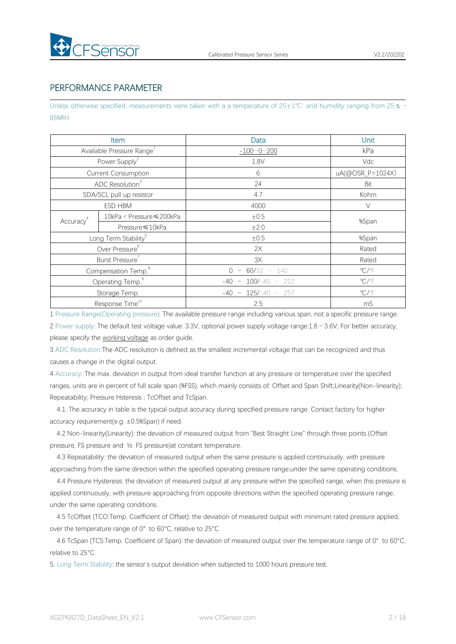

# PERFORMANCE PARAMETER

Unless otherwise specified, measurements were taken with a a temperature of 25±1℃ and humidity ranging from 25 % ~ 85%RH.

|                                 | Item                                  | Data                        | <b>Unit</b>                |  |  |
|---------------------------------|---------------------------------------|-----------------------------|----------------------------|--|--|
|                                 | Available Pressure Range <sup>1</sup> | $-1000200$                  | kPa                        |  |  |
|                                 | Power Supply <sup>2</sup>             | 1.8V                        | Vdc                        |  |  |
|                                 | <b>Current Consumption</b>            | $6\,$                       | uA(@OSR_P=1024X)           |  |  |
|                                 | ADC Resolution <sup>3</sup>           | 24                          | Bit                        |  |  |
|                                 | SDA/SCL pull up resistor              | 4.7                         | Kohm                       |  |  |
|                                 | ESD HBM                               | 4000                        | $\vee$                     |  |  |
| Accuracy <sup>4</sup>           | 10kPa < Pressure ≤ 200kPa             | $\pm 0.5$                   | %Span                      |  |  |
|                                 | Pressure ≤10kPa                       | ±2.0                        |                            |  |  |
|                                 | Long Term Stability <sup>5</sup>      | ±0.5                        | %Span                      |  |  |
|                                 | Over Pressure <sup>6</sup>            | 2X                          | Rated                      |  |  |
|                                 | Burst Pressure                        | 3X                          | Rated                      |  |  |
| Compensation Temp. <sup>8</sup> |                                       | $0 \sim 60/32 \sim 140$     | $\mathrm{C}/\mathrm{F}$    |  |  |
|                                 | Operating Temp. <sup>9</sup>          | $-40 \sim 100/-40 \sim 212$ | $^{\circ}$ C/ $^{\circ}$ F |  |  |
|                                 | Storage Temp.                         | $-40 \sim 125/-40 \sim 257$ | $\mathrm{C}/\mathrm{F}$    |  |  |
|                                 | Response Time <sup>10</sup>           | 2.5                         | mS                         |  |  |

1 Pressure Range(Operating pressure): The available pressure range including variousspan, not a specific pressure range. 2 Power supply: The default test voltage value: 3.3V, optional power supply voltage range:1.8~3.6V; For better accuracy, please specify the working voltage as order guide.

3 ADC Resolution:The ADC resolution is defined as the smallest incremental voltage that can be recognized and thus causes a change in the digital output.

4 Accuracy: The max. deviation in output from ideal transfer function at any pressure or temperature over the specified ranges, units are in percent of full scale span (%FSS), which mainly consists of: Offset and Span Shift;Linearity(Non-linearity); Repeatability; Pressure Hsteresis ; TcOffset and TcSpan.

4.1. The accuracy in table is the typical output accuracy during specified pressure range. Contact factory for higher accuracy requirement(e.g  $\pm$ 0.5%Span) if need.

4.2 Non-linearity(Linearity): the deviation of measured output from "Best Straight Line" through three points (Offset pressure, FS pressure and ½ FS pressure)at constant temperature.

4.3 Repeatability: the deviation of measured output when the same pressure is applied continuously, with pressure approaching from the same direction within the specified operating pressure range,under the same operating conditions.

4.4 Pressure Hysteresis: the deviation of measured output at any pressure within the specified range, when this pressure is applied continuously, with pressure approaching from opposite directions within the specified operating pressure range, under the same operating conditions.

4.5 TcOffset (TCO:Temp. Coefficient of Offset): the deviation of measured output with minimum rated pressure applied, over the temperature range of 0° to 60°C, relative to 25°C.

4.6 TcSpan (TCS:Temp. Coefficient of Span): the deviation of measured output over the temperature range of 0° to 60°C, relative to 25°C.

5. Long Term Stability: the sensor's output deviation when subjected to 1000 hours pressure test.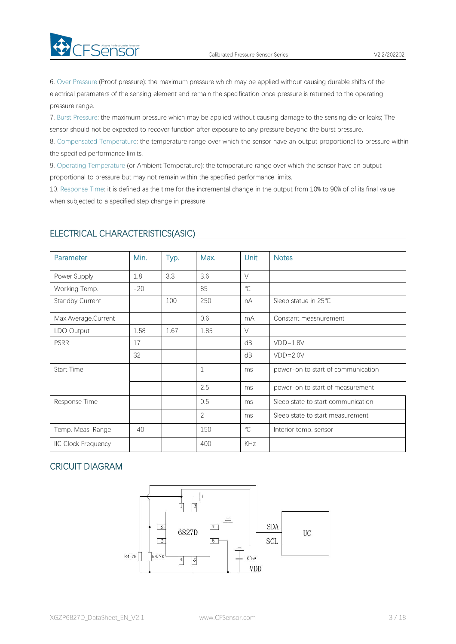6. Over Pressure (Proof pressure): the maximum pressure which may be applied without causing durable shifts of the electrical parameters of the sensing element and remain the specification once pressure is returned to the operating

7. Burst Pressure: the maximum pressure which may be applied without causing damage to the sensing die or leaks; The sensor should not be expected to recover function after exposure to any pressure beyond the burst pressure.

8. Compensated Temperature: the temperature range over which the sensor have an output proportional to pressure within the specified performance limits.

9. Operating Temperature (or Ambient Temperature): the temperature range over which the sensor have an output proportional to pressure but may not remain within the specified performance limits.

10. Response Time: it is defined as the time for the incremental change in the output from 10% to 90% of of its final value when subjected to a specified step change in pressure.

| Parameter                  | Min.  | Typ. | Max.           | Unit         | <b>Notes</b>                       |
|----------------------------|-------|------|----------------|--------------|------------------------------------|
| Power Supply               | 1.8   | 3.3  | 3.6            | $\vee$       |                                    |
| Working Temp.              | $-20$ |      | 85             | $^{\circ}$ C |                                    |
| Standby Current            |       | 100  | 250            | nA           | Sleep statue in 25°C               |
| Max.Average.Current        |       |      | 0.6            | mA           | Constant measnurement              |
| LDO Output                 | 1.58  | 1.67 | 1.85           | $\vee$       |                                    |
| <b>PSRR</b>                | 17    |      |                | dB           | $VDD=1.8V$                         |
|                            | 32    |      |                | dB           | $VDD = 2.0V$                       |
| Start Time                 |       |      | $\mathbf 1$    | ms           | power-on to start of communication |
|                            |       |      | 2.5            | ms           | power-on to start of measurement   |
| Response Time              |       |      | 0.5            | ms           | Sleep state to start communication |
|                            |       |      | $\overline{2}$ | ms           | Sleep state to start measurement   |
| Temp. Meas. Range          | $-40$ |      | 150            | $\mathrm{C}$ | Interior temp. sensor              |
| <b>IIC Clock Frequency</b> |       |      | 400            | KHz          |                                    |

# ELECTRICAL CHARACTERISTICS(ASIC)

FSensor Prefect Under Pressure

pressure range.

# CRICUIT DIAGRAM

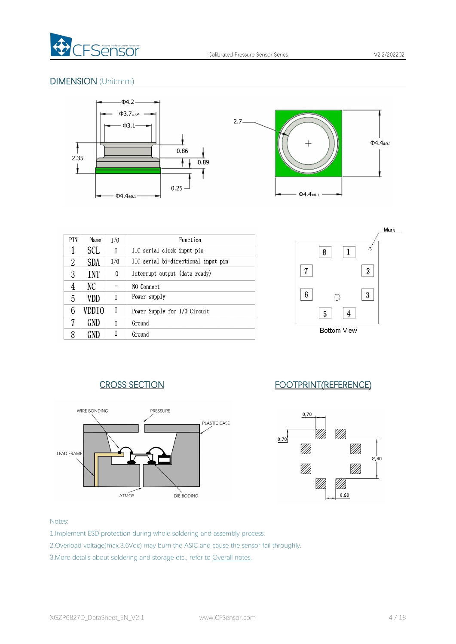

# DIMENSION (Unit:mm)



| PIN | Name       | 1/0 | Function                            |
|-----|------------|-----|-------------------------------------|
| 1   | SCL        | I   | IIC serial clock input pin          |
| 2   | <b>SDA</b> | I/0 | IIC serial bi-directional input pin |
| 3   | <b>INT</b> | 0   | Interrupt output (data ready)       |
| 4   | NС         |     | NO Connect                          |
| 5   | VDD        | T   | Power supply                        |
| 6   | VDD T O    | I   | Power Supply for I/O Circuit        |
| 7   | GND        | T   | Ground                              |
|     |            |     | Ground                              |



# CROSS SECTION FOOTPRINT(REFERENCE)





#### Notes:

- 1.Implement ESD protection during whole soldering and assembly process.
- 2.Overload voltage(max.3.6Vdc) may burn the ASIC and cause the sensor fail throughly.
- 3. More detalis about soldering and storage etc., refer to [Overall](#page-7-0) notes.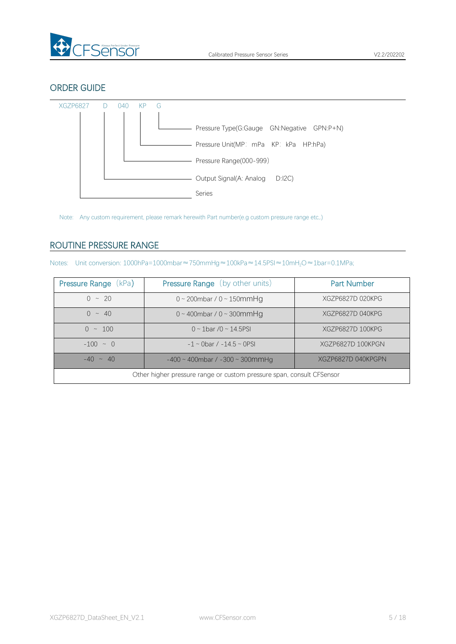

# ORDER GUIDE



Note: Any custom requirement, please remark herewith Part number(e.g custom pressure range etc,.)

# <span id="page-4-0"></span>ROUTINE PRESSURE RANGE

Notes: Unit conversion: 1000hPa=1000mbar≈750mmHg≈100kPa≈14.5PSI≈10mH<sub>2</sub>O≈1bar=0.1MPa;

| <b>Pressure Range (kPa)</b>                                           | <b>Pressure Range</b> (by other units)                    | <b>Part Number</b> |  |  |  |  |  |
|-----------------------------------------------------------------------|-----------------------------------------------------------|--------------------|--|--|--|--|--|
| $0 \sim 20$                                                           | $0 \sim 200$ mbar / $0 \sim 150$ mmHg<br>XGZP6827D 020KPG |                    |  |  |  |  |  |
| $0 \sim 40$                                                           | $0 \sim 400$ mbar / $0 \sim 300$ mmHg                     | XGZP6827D 040KPG   |  |  |  |  |  |
| $0 \sim 100$                                                          | $0 \sim 1$ bar /0 ~ 14.5PSI                               | XGZP6827D 100KPG   |  |  |  |  |  |
| $-100 \sim 0$                                                         | $-1 \sim$ 0 bar / $-14.5 \sim$ 0 PSI                      | XGZP6827D 100KPGN  |  |  |  |  |  |
| $-40 \sim 40$                                                         | $-400 \sim 400$ mbar / $-300 \sim 300$ mmHg               | XGZP6827D 040KPGPN |  |  |  |  |  |
| Other higher pressure range or custom pressure span, consult CFSensor |                                                           |                    |  |  |  |  |  |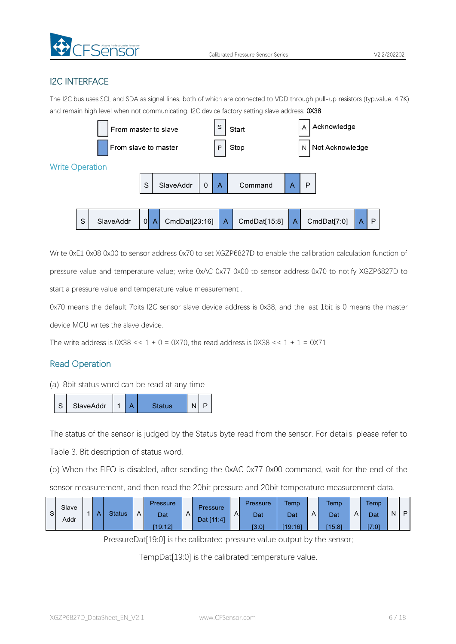

# I2C INTERFACE

The I2C bus uses SCL and SDA as signal lines, both of which are connected to VDD through pull-up resistors (typ.value: 4.7K) and remain high level when not communicating. I2C device factory setting slave address: 0X38



Write 0xE1 0x08 0x00 to sensor address 0x70 to set XGZP6827D to enable the calibration calculation function of pressure value and temperature value; write 0xAC 0x77 0x00 to sensor address 0x70 to notify XGZP6827D to start a pressure value and temperature value measurement .

0x70 means the default 7bits I2C sensor slave device address is 0x38, and the last 1bit is 0 means the master device MCU writes the slave device.

The write address is  $0 \times 38 \leq 1 + 0 = 0 \times 70$ , the read address is  $0 \times 38 \leq 1 + 1 = 0 \times 71$ 

# Read Operation

(a) 8bit status word can be read atany time



The status of the sensor is judged by the Status byte read from the sensor. For details, please refer to

Table 3. Bit description of status word.

(b) When the FIFO is disabled, after sending the 0xAC 0x77 0x00 command, wait for the end of the

sensor measurement, and then read the 20bit pressure and 20bit temperature measurement data.

| Slave<br>-S l<br>Addr |  | $\mathbf{v}$ | <b>Status</b> | A <sub>k</sub> | <b>Pressure</b><br>Dat<br>[19:12] | $\mathsf{A}$ | <b>Pressure</b><br>Dat [11:4] | $\overline{A}$ | Pressure<br>Dat<br>[3:0] | <b>Temp</b><br>Dat<br>[19:16] | $\mathsf{A}$ | <b>Temp</b><br>Dat<br>[15:8] | AI | <b>Temp</b><br>Dat<br>[7.0] | N | P |  |
|-----------------------|--|--------------|---------------|----------------|-----------------------------------|--------------|-------------------------------|----------------|--------------------------|-------------------------------|--------------|------------------------------|----|-----------------------------|---|---|--|
|-----------------------|--|--------------|---------------|----------------|-----------------------------------|--------------|-------------------------------|----------------|--------------------------|-------------------------------|--------------|------------------------------|----|-----------------------------|---|---|--|

PressureDat[19:0] is the calibrated pressure value output by the sensor;

TempDat[19:0] is the calibrated temperature value.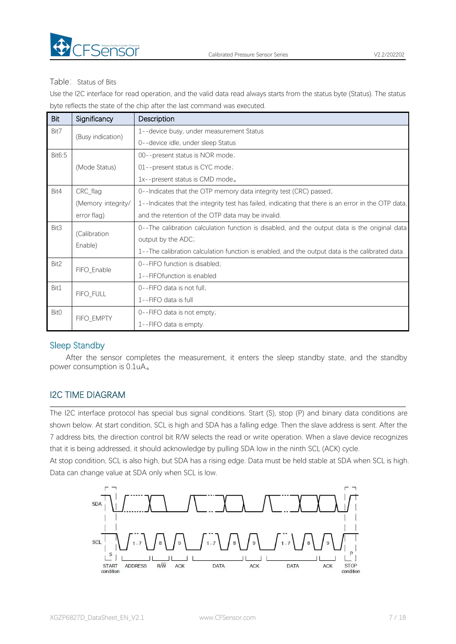

#### Table: Status of Bits

Use the I2C interface for read operation, and the valid data read always starts from the status byte (Status). The status byte reflects the state of the chip after the last command was executed.

| Bit    | Significancy                                                                   | Description                                                                                         |  |  |  |
|--------|--------------------------------------------------------------------------------|-----------------------------------------------------------------------------------------------------|--|--|--|
| Bit7   |                                                                                | 1--device busy, under measurement Status                                                            |  |  |  |
|        | (Busy indication)                                                              | 0--device idle, under sleep Status                                                                  |  |  |  |
| Bit6:5 |                                                                                | 00--present status is NOR mode;                                                                     |  |  |  |
|        | (Mode Status)                                                                  | 01--present status is CYC mode;                                                                     |  |  |  |
|        |                                                                                | 1x--present status is CMD mode.                                                                     |  |  |  |
| Bit4   | CRC_flag<br>0--Indicates that the OTP memory data integrity test (CRC) passed; |                                                                                                     |  |  |  |
|        | (Memory integrity/                                                             | 1--Indicates that the integrity test has failed, indicating that there is an error in the OTP data, |  |  |  |
|        | error flag)                                                                    | and the retention of the OTP data may be invalid.                                                   |  |  |  |
| Bit3   | (Calibration                                                                   | 0--The calibration calculation function is disabled, and the output data is the original data       |  |  |  |
|        | Enable)                                                                        | output by the ADC;                                                                                  |  |  |  |
|        |                                                                                | 1--The calibration calculation function is enabled, and the output data is the calibrated data.     |  |  |  |
| Bit2   | FIFO_Enable                                                                    | 0--FIFO function is disabled;                                                                       |  |  |  |
|        |                                                                                | 1--FIFOfunction is enabled                                                                          |  |  |  |
| Bit1   | FIFO_FULL                                                                      | 0--FIFO data is not full;                                                                           |  |  |  |
|        |                                                                                | 1--FIFO data is full                                                                                |  |  |  |
| Bit0   | FIFO_EMPTY                                                                     | 0--FIFO data is not empty;                                                                          |  |  |  |
|        |                                                                                | 1--FIFO data is empty.                                                                              |  |  |  |

# Sleep Standby

After the sensor completes the measurement, it enters the sleep standby state, and the standby power consumption is 0.1uA。

# I2C TIME DIAGRAM

The I2C interface protocol has special bus signal conditions. Start (S), stop (P) and binary data conditions are shown below. At start condition, SCL is high and SDA has a falling edge. Then the slave address is sent. After the 7 address bits, the direction control bit R/W selects the read or write operation. When a slave device recognizes that it is being addressed, it should acknowledge by pulling SDA low in the ninth SCL (ACK) cycle.

At stop condition, SCL is also high, but SDA has a rising edge. Data must be held stable at SDA when SCL is high. Data can change value at SDA only when SCL is low.

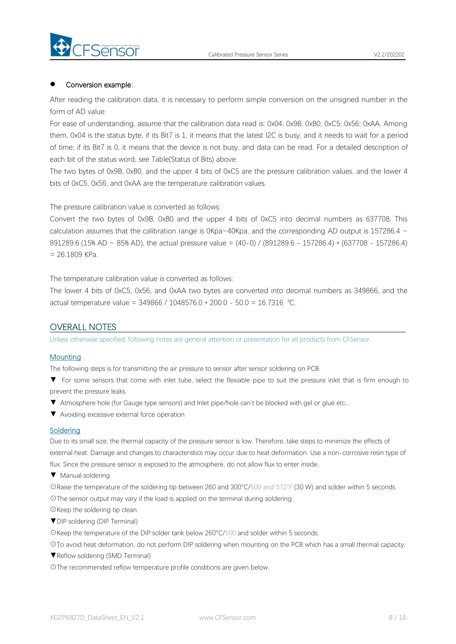

#### Conversion example:

After reading the calibration data, it is necessary to perform simple conversion on the unsigned number in the form of AD value.

For ease of understanding, assume that the calibration data read is: 0x04; 0x9B; 0xB0; 0xC5; 0x56; 0xAA. Among them, 0x04 is the status byte, if its Bit7 is 1, it means that the latest I2C is busy, and it needs to wait for a period of time; if its Bit7 is 0, it means that the device is notbusy, and data can be read. For a detailed description of each bit of the status word, see Table(Status of Bits) above.

The two bytes of 0x9B, 0xB0, and the upper 4 bits of 0xC5 are the pressure calibration values, and the lower 4 bits of 0xC5, 0x56, and 0xAA are the temperature calibration values.

The pressure calibration value is converted as follows:

Convert the two bytes of 0x9B, 0xB0 and the upper 4 bits of 0xC5 into decimal numbers as 637708. This calculation assumes that the calibration range is  $0Kpa-40Kpa$ , and the corresponding AD output is 157286.4  $\sim$ 891289.6 (15% AD ~ 85% AD), the actual pressure value = (40-0) / (891289.6 - 157286.4) \* (637708 - 157286.4)  $= 26.1809$  KPa.

The temperature calibration value is converted as follows:

The lower 4 bits of 0xC5, 0x56, and 0xAA two bytes are converted into decimal numbers as 349866, and the actual temperature value = 349866 / 1048576.0 \* 200.0 - 50.0 = 16.7316 ℃.

# <span id="page-7-0"></span>OVERALL NOTES

Unless otherwise specified, following notes are general attention or presentation for all products from CFSensor.

#### **Mounting**

The following steps is for transmitting the air pressure to sensor after sensor soldering on PCB.

- ▼ For some sensors that come with inlet tube, select the flexiable pipe to suit the pressure inlet that is firm enough to prevent the pressure leaks.
- ▼ Atmosphere hole (for Gauge type sensors) and Inlet pipe/hole can't be blocked with gel or glue etc,..
- ▼ Avoiding excessive external force operation

#### **Soldering**

Due to its small size, the thermal capacity of the pressure sensor is low. Therefore, take steps to minimize the effects of external heat. Damage and changes to characteristics may occur due to heat deformation. Use a non-corrosive resin type of flux. Since the pressure sensor is exposed to the atmosphere, do not allow flux to enter inside.

▼ Manual soldering

☉Raise the temperature of the soldering tip between 260 and 300°C/500 and 572°F (30 W) and solder within 5 seconds. ☉The sensor output may vary if the load is applied on the terminal during soldering.

- ☉Keep the soldering tip clean.
- ▼DIP soldering (DIP Terminal)

☉Keep the temperature of the DIP solder tank below 260°C/500 and solder within 5 seconds.

☉To avoid heat deformation, do not perform DIP soldering when mounting on the PCB which has a small thermal capacity.

▼Reflow soldering (SMD Terminal)

☉The recommended reflow temperature profile conditions are given below.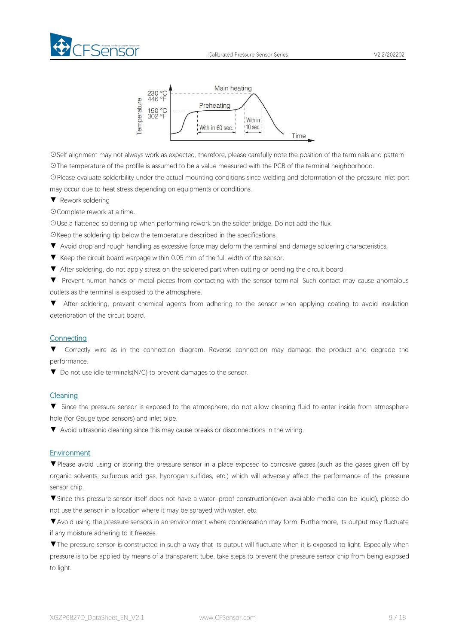





☉Self alignment may not always work as expected, therefore, please carefully note the position of the terminals and pattern. ☉The temperature of the profile is assumed to be a value measured with the PCB of the terminal neighborhood.

☉Please evaluate solderbility under the actual mounting conditions since welding and deformation of the pressure inlet port may occur due to heat stress depending on equipments or conditions.

▼ Rework soldering

☉Complete rework at a time.

☉Use a flattened soldering tip when performing rework on the solder bridge. Do not add the flux.

☉Keep the soldering tip below the temperature described in the specifications.

- ▼ Avoid drop and rough handling as excessive force may deform the terminal and damage soldering characteristics.
- 
- ▼ Keep the circuit board warpage within 0.05 mm of the full width of the sensor.<br>▼ After soldering, do not apply stress on the soldered part when cutting or bending the circuit board.

▼ Prevent human hands or metal pieces from contacting with the sensor terminal. Such contact may cause anomalous outlets as the terminal is exposed to the atmosphere.

▼ After soldering, prevent chemical agents from adhering to the sensor when applying coating to avoid insulation deterioration of the circuit board.

#### **Connecting**

▼ Correctly wire as in the connection diagram. Reverse connection may damage the product and degrade the performance.

▼ Do not use idle terminals(N/C) to prevent damages to the sensor.

#### Cleaning

▼ Since the pressure sensor is exposed to the atmosphere, do not allow cleaning fluid to enter inside from atmosphere hole (for Gauge type sensors) and inlet pipe.

▼ Avoid ultrasonic cleaning since this may cause breaks or disconnections in the wiring.

#### **Environment**

▼Please avoid using or storing the pressure sensor in a place exposed to corrosive gases (such as the gases given off by organic solvents, sulfurous acid gas, hydrogen sulfides, etc.) which will adversely affect the performance of the pressure sensor chip.

▼Since this pressure sensor itself does not have a water-proof construction(even available media can be liquid), please do not use the sensor in alocation where it may be sprayed with water, etc.

▼Avoid using the pressure sensors in an environment where condensation may form. Furthermore, its output may fluctuate if any moisture adhering to it freezes.

▼The pressure sensor is constructed in such a way that its output will fluctuate when it is exposed to light. Especially when pressure is to be applied by means of a transparent tube, take steps to prevent the pressure sensor chip from being exposed to light.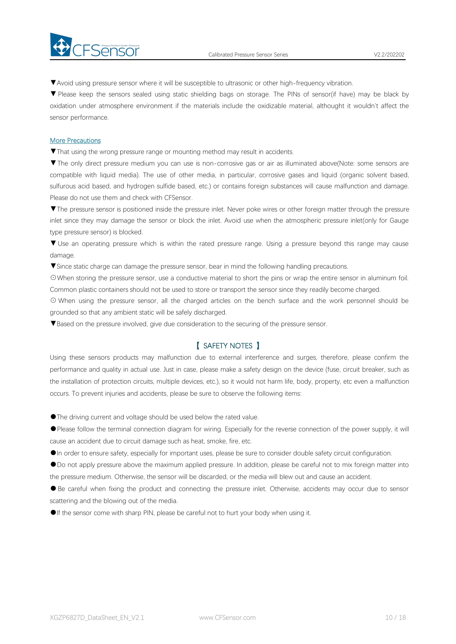



▼Avoid using pressure sensor where it will be susceptible to ultrasonic or other high-frequency vibration.

▼ Please keep the sensors sealed using static shielding bags on storage. The PINs of sensor(if have) may be black by oxidation under atmosphere environment if the materials include the oxidizable material, althought it wouldn't affect the sensor performance.

#### More Precautions

▼That using the wrong pressure range or mounting method mayresult in accidents.

▼The only direct pressure medium you can use is non-corrosive gas or air as illuminated above(Note: some sensors are compatible with liquid media). The use of other media, in particular, corrosive gases and liquid (organic solvent based, sulfurous acid based, and hydrogen sulfide based, etc.) or contains foreign substances will cause malfunction and damage.<br>Please do not use them and check with CFSensor.

▼The pressure sensor is positioned inside the pressure inlet. Never poke wires orother foreign matter through the pressure inlet since they may damage the sensor or block the inlet. Avoid use when the atmospheric pressure inlet(only for Gauge type pressure sensor) is blocked.

▼ Use an operating pressure which is within the rated pressure range. Using a pressure beyond this range may cause damage.

▼Since static charge can damage the pressure sensor, bear in mind the following handling precautions.

☉When storing the pressure sensor, use a conductive material to short the pins or wrap the entire sensor in aluminum foil. Common plastic containers should not be used to store or transport the sensor since they readily become charged.

⊙ When using the pressure sensor, all the charged articles on the bench surface and the work personnel should be grounded so that any ambient static will be safely discharged.

▼Based on the pressure involved, give due consideration to the securing of the pressure sensor.

# 【 SAFETY NOTES 】

Using these sensors products may malfunction due to external interference and surges, therefore, please confirm the performance and quality in actual use. Just in case, please make a safety design on the device (fuse, circuit breaker, such as the installation of protection circuits, multiple devices, etc.), so it would not harm life, body, property, etc even amalfunction occurs. To prevent injuries and accidents, please be sure to observe the following items:

●The driving current and voltage should be used below the rated value.

●Please follow the terminal connection diagram for wiring. Especially for the reverse connection of the power supply, it will cause an accident due to circuit damage such as heat, smoke, fire, etc.

●In order to ensure safety, especially for important uses, please be sure to consider double safety circuit configuration.

●Do not apply pressure above the maximum applied pressure. In addition, please be careful not to mix foreign matter into the pressure medium. Otherwise, the sensor will be discarded, or the media will blew out and cause an accident.<br>• Be careful when fixing the product and connecting the pressure inlet. Otherwise, accidents may occur due to

scattering and the blowing out of the media.

●If the sensor come with sharp PIN, please be careful not to hurt your body when using it.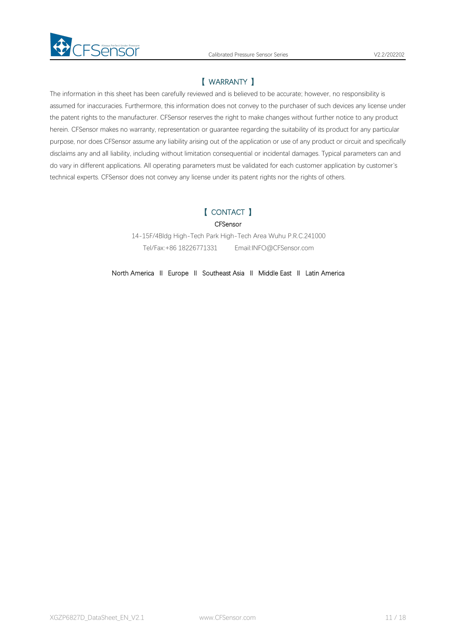

# 【 WARRANTY 】

The information in thissheet has been carefully reviewed and is believed to be accurate; however, no responsibility is assumed for inaccuracies. Furthermore, this information does not convey to the purchaser of such devices any license under the patent rights to the manufacturer. CFSensor reserves the right to make changes without further notice to any product herein. CFSensor makes no warranty, representation or guarantee regarding the suitability of its product for any particular purpose, nor does CFSensor assume any liability arising out of the application or use of any product or circuit and specifically disclaims any and all liability, including without limitation consequential or incidental damages. Typical parameters can and do vary in different applications. All operating parameters must be validated for each customer application by customer's technical experts. CFSensor does not convey any license under its patent rights nor the rights of others.

# 【 CONTACT 】

**CFSensor** 

14-15F/4Bldg High-Tech Park High-Tech Area Wuhu P.R.C.241000 Tel/Fax:+86 18226771331 Email:INFO@CFSensor.com

North America Ⅱ Europe Ⅱ Southeast Asia Ⅱ Middle East Ⅱ Latin America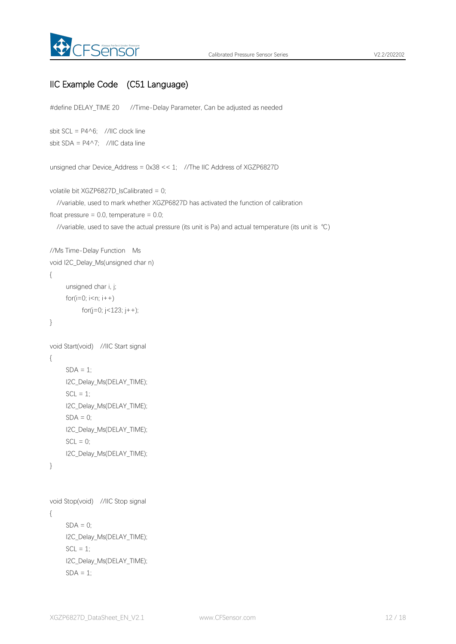

# IIC Example Code (C51 Language)

#define DELAY\_TIME 20 //Time-Delay Parameter, Can be adjusted as needed

```
sbit SCL = P4^6; //IIC clock line
sbit SDA = P4^7; //IIC data line
```
unsigned char Device Address =  $0x38 \le 1$ ; //The IIC Address of XGZP6827D

```
volatile bit XGZP6827D_IsCalibrated = 0;
```
//variable, used to mark whether XGZP6827D has activated the function of calibration float pressure =  $0.0$ , temperature =  $0.0$ ;

```
//variable, used to save the actual pressure (its unit is Pa) and actual temperature (its unit is ℃)
```

```
//Ms Time-Delay Function Ms
void I2C_Delay_Ms(unsigned char n)
{
    unsigned char i, j;
    for(i=0; i<n; i++)
         for(j=0; j<123; j++);
}
void Start(void) //IIC Start signal
{
    SDA = 1;
    I2C_Delay_Ms(DELAY_TIME);
    SCL = 1;
    I2C_Delay_Ms(DELAY_TIME);
    SDA = 0;
    I2C_Delay_Ms(DELAY_TIME);
    SCL = 0;I2C_Delay_Ms(DELAY_TIME);
}
void Stop(void) //IIC Stop signal
```

```
{
    SDA = 0;
    I2C_Delay_Ms(DELAY_TIME);
    SCL = 1;
    I2C_Delay_Ms(DELAY_TIME);
    SDA = 1;
```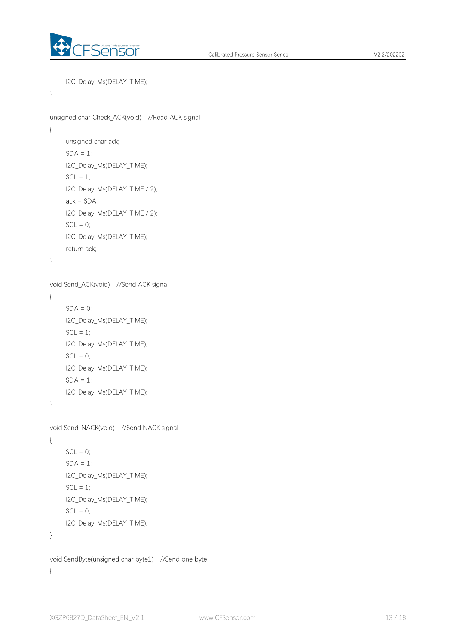

```
I2C_Delay_Ms(DELAY_TIME);
```

```
}
```

```
unsigned char Check_ACK(void) //Read ACK signal
{
    unsigned char ack;
    SDA = 1;
    I2C_Delay_Ms(DELAY_TIME);
    SCL = 1;
    I2C_Delay_Ms(DELAY_TIME / 2);
    ack = SDA;
    I2C_Delay_Ms(DELAY_TIME / 2);
    SCL = 0;
    I2C_Delay_Ms(DELAY_TIME);
    return ack;
}
void Send_ACK(void) //Send ACK signal
{
    SDA = 0;
    I2C_Delay_Ms(DELAY_TIME);
    SCL = 1;
    I2C_Delay_Ms(DELAY_TIME);
    SCL = 0;
    I2C_Delay_Ms(DELAY_TIME);
    SDA = 1;
    I2C_Delay_Ms(DELAY_TIME);
}
void Send_NACK(void) //Send NACK signal
{
    SCL = 0;
    SDA = 1;
    I2C_Delay_Ms(DELAY_TIME);
    SCL = 1;
    I2C_Delay_Ms(DELAY_TIME);
    SCL = 0;
    I2C_Delay_Ms(DELAY_TIME);
}
void SendByte(unsigned char byte1) //Send one byte
{
```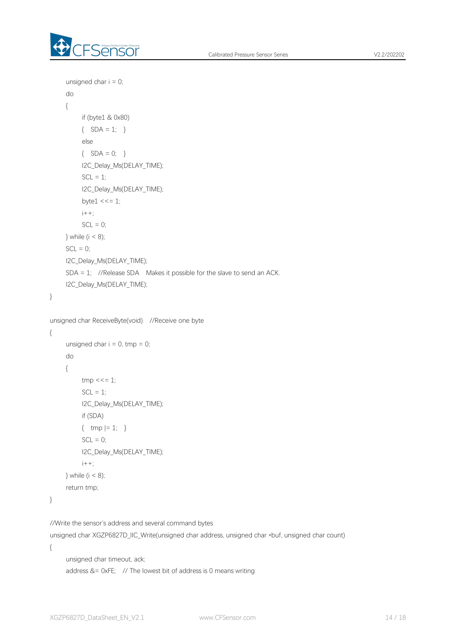

```
unsigned char i = 0;
    do
    {
         if (byte1 & 0x80)
         \{ SDA = 1; }
         else
         \{ SDA = 0; }
         I2C_Delay_Ms(DELAY_TIME);
         SCL = 1;
         I2C_Delay_Ms(DELAY_TIME);
         byte1 \leq t \leq 1;
         i++;
         SCL = 0;
    } while (i < 8);
    SCL = 0;
    I2C_Delay_Ms(DELAY_TIME);
    SDA = 1; //Release SDA Makes it possible for the slave to send an ACK. I2C_Delay_Ms(DELAY_TIME);
}
unsigned char ReceiveByte(void) //Receive one byte
{
    unsigned char i = 0, tmp = 0;
     do
     {
         tmp \ll= 1;SCL = 1;
         I2C_Delay_Ms(DELAY_TIME);
         if (SDA)
         { \t{mp} |-1; }SCL = 0;
         I2C_Delay_Ms(DELAY_TIME);
         i++;
    } while (i < 8);
    return tmp;
}
```
//Write the sensor's address and several command bytes

unsigned char XGZP6827D\_IIC\_Write(unsigned char address, unsigned char \*buf, unsigned char count) {

```
unsigned char timeout, ack;
address &= 0xFE; // The lowest bit of address is 0 means writing
```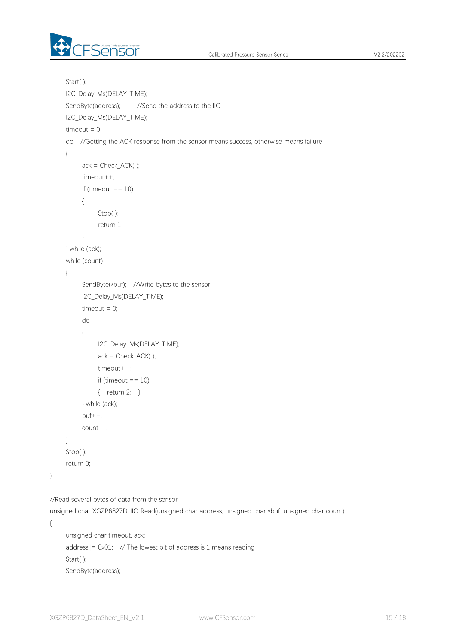

```
Start( );
    I2C_Delay_Ms(DELAY_TIME);
    SendByte(address); //Send the address to the IIC
    I2C_Delay_Ms(DELAY_TIME);
    timeout = 0;do //Getting the ACK response from the sensor means success, otherwise means failure
     {
         ack = Check ACK();
         timeout++;
         if (timeout == 10)
         {
             Stop( );
             return 1;
         }
    } while (ack);
    while (count)
     {
         SendByte(*buf); //Write bytes to the sensor
         I2C_Delay_Ms(DELAY_TIME);
         timeout = 0;
         do
         {
             I2C_Delay_Ms(DELAY_TIME);
             ack = Check ACK();
             timeout++;
             if (timeout == 10)
             { return 2; }
         } while (ack);
         but++;count--;
    }
    Stop( );
    return 0;
}
//Read several bytes of data from the sensor
```
unsigned char XGZP6827D\_IIC\_Read(unsigned char address, unsigned char \*buf, unsigned char count)

{

```
unsigned char timeout, ack;
address | = 0 \times 01lowestbit of address is 1 means reading
Start( );
SendByte(address);
```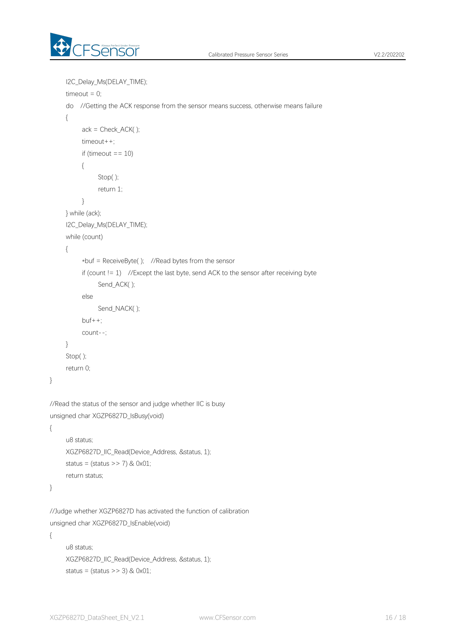

```
I2C_Delay_Ms(DELAY_TIME);
    timeout = 0;
    do //Getting the ACK response from the sensor means success, otherwise means failure
     {
         ack = Check_ACK();
         timeout++;
         if (timeout == 10)
          {
              Stop( );
              return 1;
          }
    } while (ack);
    I2C_Delay_Ms(DELAY_TIME);
    while (count)
     { *buf = ReceiveByte( ); //Read bytes from the sensor
         if (count != 1) //Except the last byte, send ACK to the sensor after receiving byte
              Send_ACK( );
          else
              Send_NACK();
         but++;
         count--;
    }
    Stop( );
    return 0;
}
//Read the status of the sensor and judge whether IIC is busy
unsigned char XGZP6827D_IsBusy(void)
{
    u8 status;
    XGZP6827D_IIC_Read(Device_Address, &status, 1);
    status = (status \gtgt; 7) & 0x01;
    return status;
}
//Judge whether XGZP6827D has activated the function of calibration
unsigned char XGZP6827D_IsEnable(void)
{
    u8 status;
    XGZP6827D_IIC_Read(Device_Address, &status, 1);
    status = (status >> 3) & 0 \times 01;
```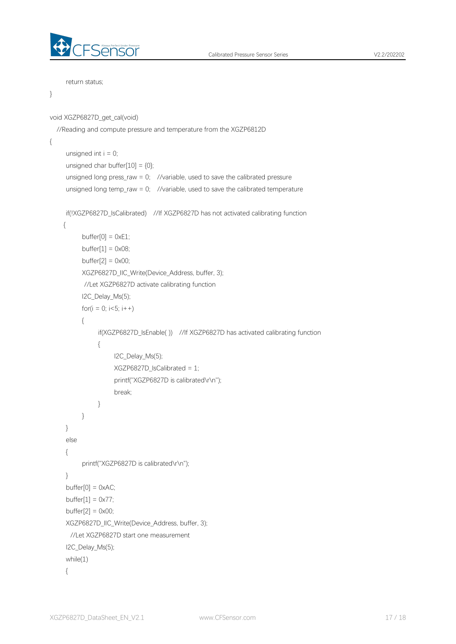

```
return status;
```

```
}
```

```
void XGZP6827D_get_cal(void)
  //Reading and compute pressure and temperature from the XGZP6812D
{
     unsigned int i = 0;
     unsigned char buffer[10] = {0};
     unsigned long press_raw = 0; //variable, used to save the calibrated pressure
     unsigned long temp_raw = 0; //variable, used to save the calibrated temperature
     if(!XGZP6827D_IsCalibrated) //If XGZP6827D has not activated calibrating function
     {
          buffer[0] = 0xE1;buffer[1] = 0 \times 08;
          buffer[2] = 0 \times 00;
          XGZP6827D_IIC_Write(Device_Address, buffer, 3);
          //Let XGZP6827D activate calibrating function
          I2C_Delay_Ms(5);
          for(i = 0; i < 5; i + +1)
          {
               if(XGZP6827D_IsEnable( )) //If XGZP6827D has activated calibrating function
               {
                    I2C_Delay_Ms(5);
                    XGZP6827D_IsCalibrated = 1;
                    printf("XGZP6827D is calibrated\r\n");
                    break;
               }
          }
     }
     else
     {
          printf("XGZP6827D is calibrated\r\n");
     }
     buffer[0] = 0 \times AC;buffer[1] = 0 \times 77;
     buffer[2] = 0x00;
     XGZP6827D_IIC_Write(Device_Address, buffer, 3);
      //Let XGZP6827D start one measurement
     I2C_Delay_Ms(5);
     while(1)
```

```
{
```